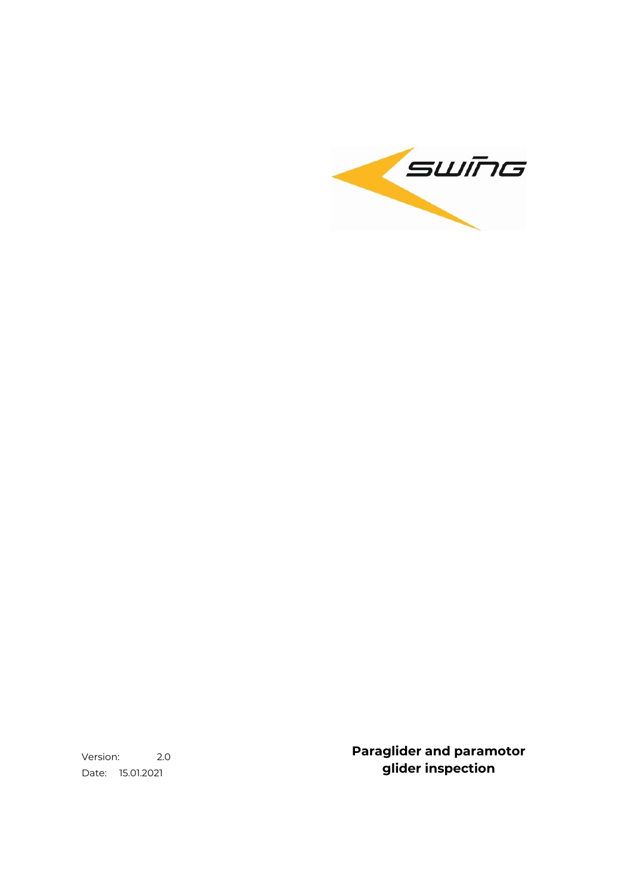

Version: 2.0 Date: 15.01.2021

**Paraglider and paramotor glider inspection**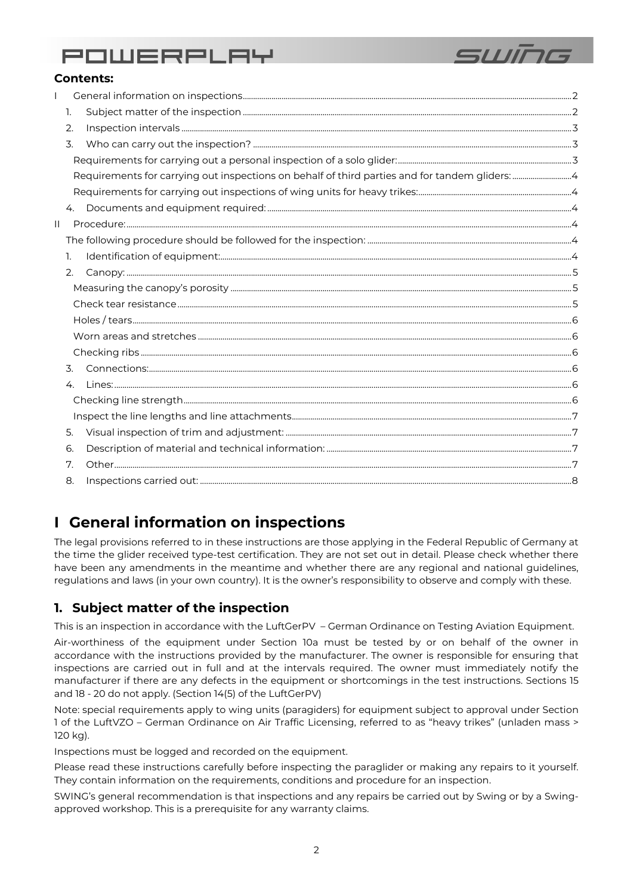

### **Contents:**

|    | 1. |                                                                                                |  |  |  |  |
|----|----|------------------------------------------------------------------------------------------------|--|--|--|--|
|    | 2. |                                                                                                |  |  |  |  |
|    | 3. |                                                                                                |  |  |  |  |
|    |    |                                                                                                |  |  |  |  |
|    |    | Requirements for carrying out inspections on behalf of third parties and for tandem gliders: 4 |  |  |  |  |
|    |    |                                                                                                |  |  |  |  |
|    | 4. |                                                                                                |  |  |  |  |
| IL |    |                                                                                                |  |  |  |  |
|    |    |                                                                                                |  |  |  |  |
|    | 1. |                                                                                                |  |  |  |  |
|    | 2. |                                                                                                |  |  |  |  |
|    |    |                                                                                                |  |  |  |  |
|    |    |                                                                                                |  |  |  |  |
|    |    |                                                                                                |  |  |  |  |
|    |    |                                                                                                |  |  |  |  |
|    |    |                                                                                                |  |  |  |  |
|    | 3. |                                                                                                |  |  |  |  |
|    | 4. |                                                                                                |  |  |  |  |
|    |    |                                                                                                |  |  |  |  |
|    |    |                                                                                                |  |  |  |  |
|    | 5. |                                                                                                |  |  |  |  |
|    | 6. |                                                                                                |  |  |  |  |
|    | 7. |                                                                                                |  |  |  |  |
|    | 8. |                                                                                                |  |  |  |  |
|    |    |                                                                                                |  |  |  |  |

## <span id="page-1-0"></span>**I General information on inspections**

The legal provisions referred to in these instructions are those applying in the Federal Republic of Germany at the time the glider received type-test certification. They are not set out in detail. Please check whether there have been any amendments in the meantime and whether there are any regional and national guidelines, regulations and laws (in your own country). It is the owner's responsibility to observe and comply with these.

## <span id="page-1-1"></span>**1. Subject matter of the inspection**

This is an inspection in accordance with the LuftGerPV – German Ordinance on Testing Aviation Equipment.

Air-worthiness of the equipment under Section 10a must be tested by or on behalf of the owner in accordance with the instructions provided by the manufacturer. The owner is responsible for ensuring that inspections are carried out in full and at the intervals required. The owner must immediately notify the manufacturer if there are any defects in the equipment or shortcomings in the test instructions. Sections 15 and 18 - 20 do not apply. (Section 14(5) of the LuftGerPV)

Note: special requirements apply to wing units (paragiders) for equipment subject to approval under Section 1 of the LuftVZO – German Ordinance on Air Traffic Licensing, referred to as "heavy trikes" (unladen mass > 120 kg).

Inspections must be logged and recorded on the equipment.

Please read these instructions carefully before inspecting the paraglider or making any repairs to it yourself. They contain information on the requirements, conditions and procedure for an inspection.

SWING's general recommendation is that inspections and any repairs be carried out by Swing or by a Swingapproved workshop. This is a prerequisite for any warranty claims.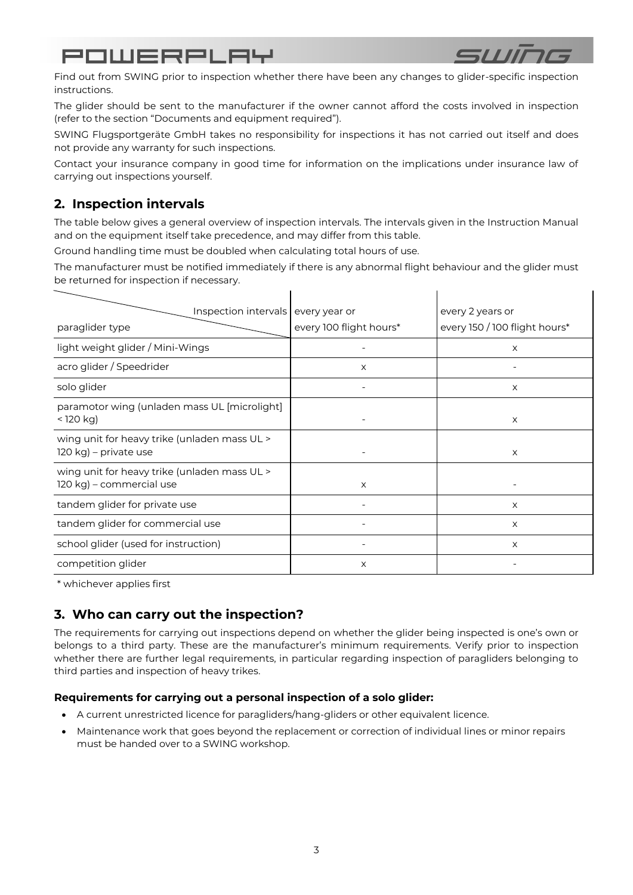

 $\blacksquare$ 

Find out from SWING prior to inspection whether there have been any changes to glider-specific inspection instructions.

The glider should be sent to the manufacturer if the owner cannot afford the costs involved in inspection (refer to the section "Documents and equipment required").

SWING Flugsportgeräte GmbH takes no responsibility for inspections it has not carried out itself and does not provide any warranty for such inspections.

Contact your insurance company in good time for information on the implications under insurance law of carrying out inspections yourself.

## <span id="page-2-0"></span>**2. Inspection intervals**

The table below gives a general overview of inspection intervals. The intervals given in the Instruction Manual and on the equipment itself take precedence, and may differ from this table.

Ground handling time must be doubled when calculating total hours of use.

The manufacturer must be notified immediately if there is any abnormal flight behaviour and the glider must be returned for inspection if necessary.

| Inspection intervals every year or                                       |                         | every 2 years or              |
|--------------------------------------------------------------------------|-------------------------|-------------------------------|
| paraglider type                                                          | every 100 flight hours* | every 150 / 100 flight hours* |
| light weight glider / Mini-Wings                                         |                         | X                             |
| acro glider / Speedrider                                                 | X                       |                               |
| solo glider                                                              |                         | X                             |
| paramotor wing (unladen mass UL [microlight]<br>$<$ 120 kg)              |                         | X                             |
| wing unit for heavy trike (unladen mass UL ><br>120 kg) – private use    |                         | X                             |
| wing unit for heavy trike (unladen mass UL ><br>120 kg) – commercial use | X                       |                               |
| tandem glider for private use                                            |                         | X                             |
| tandem glider for commercial use                                         |                         | X                             |
| school glider (used for instruction)                                     |                         | X                             |
| competition glider                                                       | X                       |                               |

\* whichever applies first

## <span id="page-2-1"></span>**3. Who can carry out the inspection?**

The requirements for carrying out inspections depend on whether the glider being inspected is one's own or belongs to a third party. These are the manufacturer's minimum requirements. Verify prior to inspection whether there are further legal requirements, in particular regarding inspection of paragliders belonging to third parties and inspection of heavy trikes.

### <span id="page-2-2"></span>**Requirements for carrying out a personal inspection of a solo glider:**

- A current unrestricted licence for paragliders/hang-gliders or other equivalent licence.
- Maintenance work that goes beyond the replacement or correction of individual lines or minor repairs must be handed over to a SWING workshop.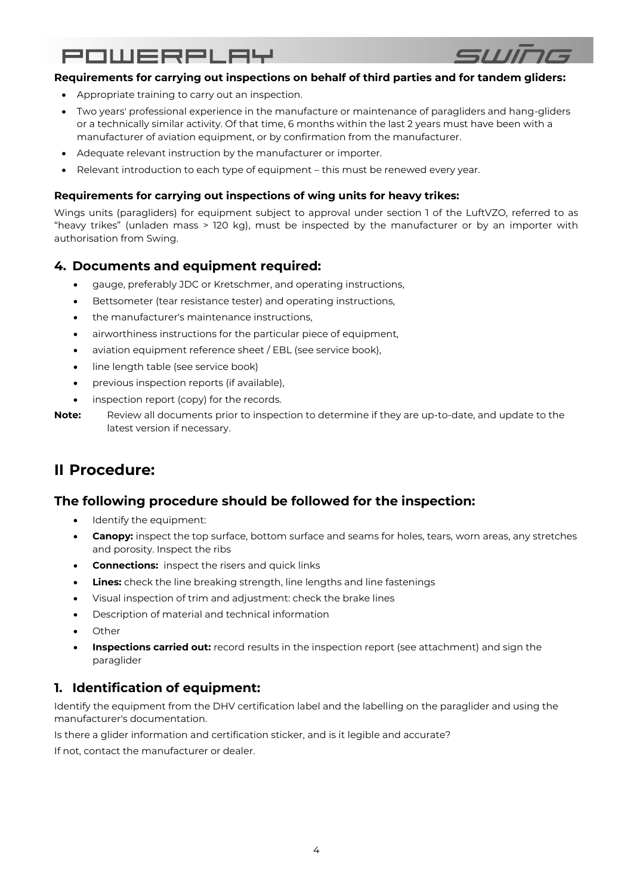

### <span id="page-3-0"></span>**Requirements for carrying out inspections on behalf of third parties and for tandem gliders:**

- Appropriate training to carry out an inspection.
- Two years' professional experience in the manufacture or maintenance of paragliders and hang-gliders or a technically similar activity. Of that time, 6 months within the last 2 years must have been with a manufacturer of aviation equipment, or by confirmation from the manufacturer.
- Adequate relevant instruction by the manufacturer or importer.
- Relevant introduction to each type of equipment this must be renewed every year.

### <span id="page-3-1"></span>**Requirements for carrying out inspections of wing units for heavy trikes:**

Wings units (paragliders) for equipment subject to approval under section 1 of the LuftVZO, referred to as "heavy trikes" (unladen mass > 120 kg), must be inspected by the manufacturer or by an importer with authorisation from Swing.

### <span id="page-3-2"></span>**4. Documents and equipment required:**

- gauge, preferably JDC or Kretschmer, and operating instructions,
- Bettsometer (tear resistance tester) and operating instructions,
- the manufacturer's maintenance instructions,
- airworthiness instructions for the particular piece of equipment,
- aviation equipment reference sheet / EBL (see service book),
- line length table (see service book)
- previous inspection reports (if available),
- inspection report (copy) for the records.
- **Note:** Review all documents prior to inspection to determine if they are up-to-date, and update to the latest version if necessary.

## <span id="page-3-3"></span>**II Procedure:**

### <span id="page-3-4"></span>**The following procedure should be followed for the inspection:**

- Identify the equipment:
- **Canopy:** inspect the top surface, bottom surface and seams for holes, tears, worn areas, any stretches and porosity. Inspect the ribs
- **Connections:** inspect the risers and quick links
- **Lines:** check the line breaking strength, line lengths and line fastenings
- Visual inspection of trim and adjustment: check the brake lines
- Description of material and technical information
- Other
- **Inspections carried out:** record results in the inspection report (see attachment) and sign the paraglider

## <span id="page-3-5"></span>**1. Identification of equipment:**

Identify the equipment from the DHV certification label and the labelling on the paraglider and using the manufacturer's documentation.

Is there a glider information and certification sticker, and is it legible and accurate?

If not, contact the manufacturer or dealer.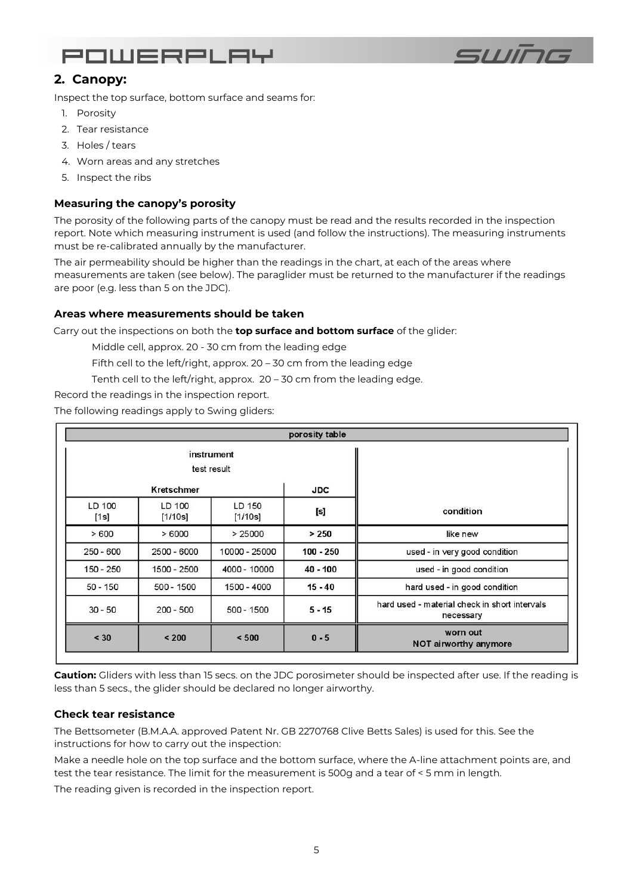



## <span id="page-4-0"></span>**2. Canopy:**

Inspect the top surface, bottom surface and seams for:

- 1. Porosity
- 2. Tear resistance
- 3. Holes / tears
- 4. Worn areas and any stretches
- 5. Inspect the ribs

### <span id="page-4-1"></span>**Measuring the canopy's porosity**

The porosity of the following parts of the canopy must be read and the results recorded in the inspection report. Note which measuring instrument is used (and follow the instructions). The measuring instruments must be re-calibrated annually by the manufacturer.

The air permeability should be higher than the readings in the chart, at each of the areas where measurements are taken (see below). The paraglider must be returned to the manufacturer if the readings are poor (e.g. less than 5 on the JDC).

### **Areas where measurements should be taken**

Carry out the inspections on both the **top surface and bottom surface** of the glider:

Middle cell, approx. 20 - 30 cm from the leading edge

- Fifth cell to the left/right, approx. 20 30 cm from the leading edge
- Tenth cell to the left/right, approx. 20 30 cm from the leading edge.

Record the readings in the inspection report.

The following readings apply to Swing gliders:

| porosity table                                             |                           |                   |                   |                |  |  |  |  |
|------------------------------------------------------------|---------------------------|-------------------|-------------------|----------------|--|--|--|--|
|                                                            | instrument<br>test result |                   |                   |                |  |  |  |  |
|                                                            | <b>JDC</b>                | Kretschmer        |                   |                |  |  |  |  |
| condition                                                  | [s]                       | LD 150<br>[1/10s] | LD 100<br>[1/10s] | LD 100<br>[1s] |  |  |  |  |
| like new                                                   | > 250                     | > 25000           | >6000             | >600           |  |  |  |  |
| used - in very good condition                              | $100 - 250$               | 10000 - 25000     | $2500 - 6000$     | $250 - 600$    |  |  |  |  |
| used - in good condition                                   | $40 - 100$                | 4000 - 10000      | 1500 - 2500       | 150 - 250      |  |  |  |  |
| hard used - in good condition                              | $15 - 40$                 | 1500 - 4000       | 500 - 1500        | $50 - 150$     |  |  |  |  |
| hard used - material check in short intervals<br>necessary | $5 - 15$                  | $500 - 1500$      | $200 - 500$       | $30 - 50$      |  |  |  |  |
| worn out<br>NOT airworthy anymore                          | $0 - 5$                   | < 500             | < 200             | < 30           |  |  |  |  |

**Caution:** Gliders with less than 15 secs. on the JDC porosimeter should be inspected after use. If the reading is less than 5 secs., the glider should be declared no longer airworthy.

### <span id="page-4-2"></span>**Check tear resistance**

The Bettsometer (B.M.A.A. approved Patent Nr. GB 2270768 Clive Betts Sales) is used for this. See the instructions for how to carry out the inspection:

Make a needle hole on the top surface and the bottom surface, where the A-line attachment points are, and test the tear resistance. The limit for the measurement is 500g and a tear of < 5 mm in length.

The reading given is recorded in the inspection report.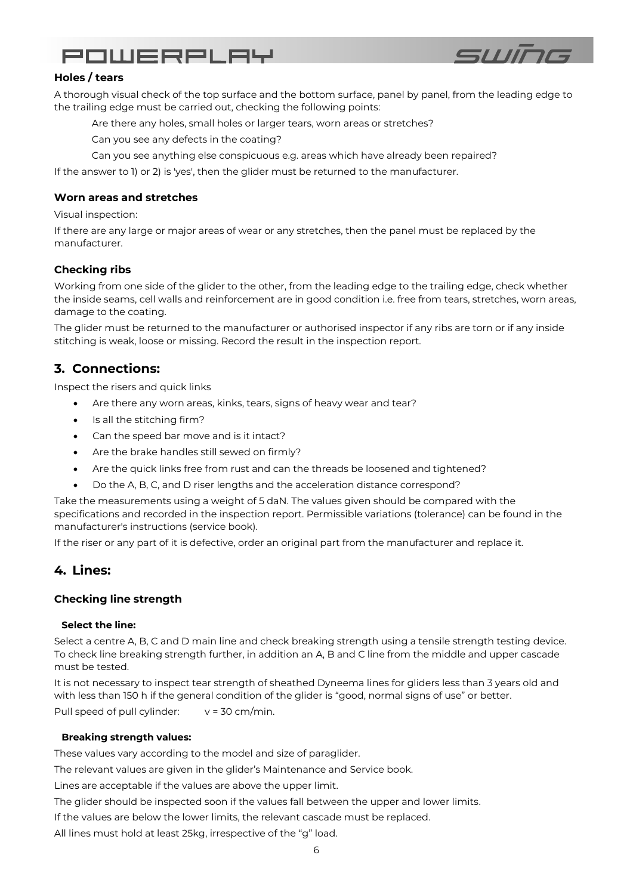

### <span id="page-5-0"></span>**Holes / tears**

A thorough visual check of the top surface and the bottom surface, panel by panel, from the leading edge to the trailing edge must be carried out, checking the following points:

Are there any holes, small holes or larger tears, worn areas or stretches?

Can you see any defects in the coating?

Can you see anything else conspicuous e.g. areas which have already been repaired?

If the answer to 1) or 2) is 'yes', then the glider must be returned to the manufacturer.

### <span id="page-5-1"></span>**Worn areas and stretches**

Visual inspection:

If there are any large or major areas of wear or any stretches, then the panel must be replaced by the manufacturer.

### <span id="page-5-2"></span>**Checking ribs**

Working from one side of the glider to the other, from the leading edge to the trailing edge, check whether the inside seams, cell walls and reinforcement are in good condition i.e. free from tears, stretches, worn areas, damage to the coating.

The glider must be returned to the manufacturer or authorised inspector if any ribs are torn or if any inside stitching is weak, loose or missing. Record the result in the inspection report.

### <span id="page-5-3"></span>**3. Connections:**

Inspect the risers and quick links

- Are there any worn areas, kinks, tears, signs of heavy wear and tear?
- Is all the stitching firm?
- Can the speed bar move and is it intact?
- Are the brake handles still sewed on firmly?
- Are the quick links free from rust and can the threads be loosened and tightened?
- Do the A, B, C, and D riser lengths and the acceleration distance correspond?

Take the measurements using a weight of 5 daN. The values given should be compared with the specifications and recorded in the inspection report. Permissible variations (tolerance) can be found in the manufacturer's instructions (service book).

If the riser or any part of it is defective, order an original part from the manufacturer and replace it.

### <span id="page-5-4"></span>**4. Lines:**

### <span id="page-5-5"></span>**Checking line strength**

### **Select the line:**

Select a centre A, B, C and D main line and check breaking strength using a tensile strength testing device. To check line breaking strength further, in addition an A, B and C line from the middle and upper cascade must be tested.

It is not necessary to inspect tear strength of sheathed Dyneema lines for gliders less than 3 years old and with less than 150 h if the general condition of the glider is "good, normal signs of use" or better. Pull speed of pull cylinder:  $v = 30$  cm/min.

### **Breaking strength values:**

These values vary according to the model and size of paraglider.

The relevant values are given in the glider's Maintenance and Service book.

Lines are acceptable if the values are above the upper limit.

The glider should be inspected soon if the values fall between the upper and lower limits.

If the values are below the lower limits, the relevant cascade must be replaced.

All lines must hold at least 25kg, irrespective of the "g" load.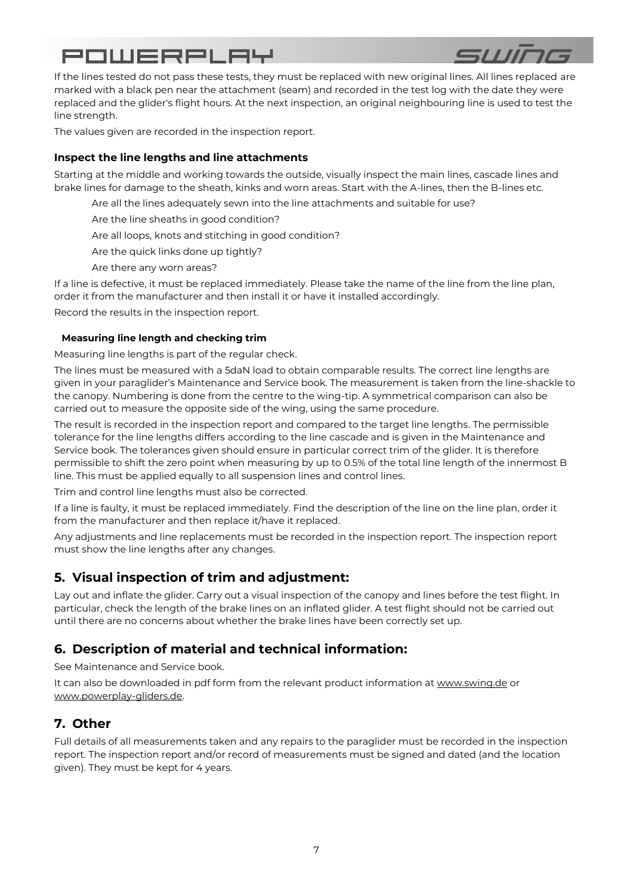

If the lines tested do not pass these tests, they must be replaced with new original lines. All lines replaced are marked with a black pen near the attachment (seam) and recorded in the test log with the date they were replaced and the glider's flight hours. At the next inspection, an original neighbouring line is used to test the line strength.

The values given are recorded in the inspection report.

### <span id="page-6-0"></span>**Inspect the line lengths and line attachments**

Starting at the middle and working towards the outside, visually inspect the main lines, cascade lines and brake lines for damage to the sheath, kinks and worn areas. Start with the A-lines, then the B-lines etc.

Are all the lines adequately sewn into the line attachments and suitable for use?

Are the line sheaths in good condition?

Are all loops, knots and stitching in good condition?

Are the quick links done up tightly?

Are there any worn areas?

If a line is defective, it must be replaced immediately. Please take the name of the line from the line plan, order it from the manufacturer and then install it or have it installed accordingly.

Record the results in the inspection report.

### **Measuring line length and checking trim**

Measuring line lengths is part of the regular check.

The lines must be measured with a 5daN load to obtain comparable results. The correct line lengths are given in your paraglider's Maintenance and Service book. The measurement is taken from the line-shackle to the canopy. Numbering is done from the centre to the wing-tip. A symmetrical comparison can also be carried out to measure the opposite side of the wing, using the same procedure.

The result is recorded in the inspection report and compared to the target line lengths. The permissible tolerance for the line lengths differs according to the line cascade and is given in the Maintenance and Service book. The tolerances given should ensure in particular correct trim of the glider. It is therefore permissible to shift the zero point when measuring by up to 0.5% of the total line length of the innermost B line. This must be applied equally to all suspension lines and control lines.

Trim and control line lengths must also be corrected.

If a line is faulty, it must be replaced immediately. Find the description of the line on the line plan, order it from the manufacturer and then replace it/have it replaced.

Any adjustments and line replacements must be recorded in the inspection report. The inspection report must show the line lengths after any changes.

### <span id="page-6-1"></span>**5. Visual inspection of trim and adjustment:**

Lay out and inflate the glider. Carry out a visual inspection of the canopy and lines before the test flight. In particular, check the length of the brake lines on an inflated glider. A test flight should not be carried out until there are no concerns about whether the brake lines have been correctly set up.

### <span id="page-6-2"></span>**6. Description of material and technical information:**

See Maintenance and Service book.

It can also be downloaded in pdf form from the relevant product information at [www.swing.de](http://www.swing.de/) or [www.powerplay-gliders.de.](http://www.powerplay-gliders.de/)

## <span id="page-6-3"></span>**7. Other**

Full details of all measurements taken and any repairs to the paraglider must be recorded in the inspection report. The inspection report and/or record of measurements must be signed and dated (and the location given). They must be kept for 4 years.